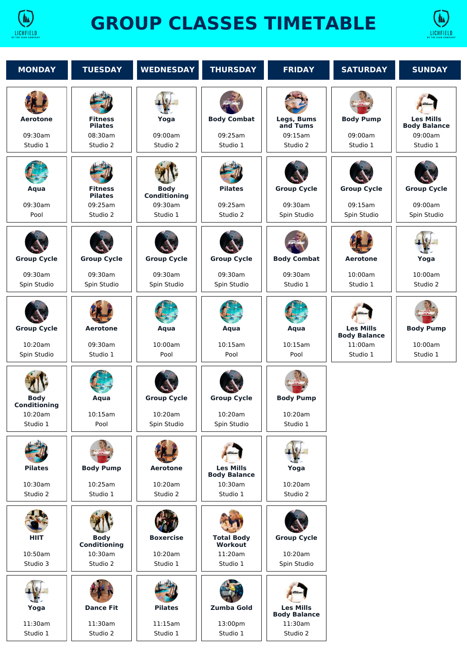

## **GROUP CLASSES TIMETABLE**



| <b>MONDAY</b>                                      | <b>TUESDAY</b>                                          | <b>WEDNESDAY</b>                                   | <b>THURSDAY</b>                                                | <b>FRIDAY</b>                                                  | <b>SATURDAY</b>                                                | <b>SUNDAY</b>                                                  |
|----------------------------------------------------|---------------------------------------------------------|----------------------------------------------------|----------------------------------------------------------------|----------------------------------------------------------------|----------------------------------------------------------------|----------------------------------------------------------------|
| <b>Aerotone</b><br>09:30am<br>Studio 1             | <b>Fitness</b><br><b>Pilates</b><br>08:30am<br>Studio 2 | Yoga<br>09:00am<br>Studio 2                        | <b>Body Combat</b><br>09:25am<br>Studio 1                      | Legs, Bums<br>and Tums<br>09:15am<br>Studio 2                  | <b>Body Pump</b><br>09:00am<br>Studio 1                        | <b>Les Mills</b><br><b>Body Balance</b><br>09:00am<br>Studio 1 |
| Aqua<br>09:30am<br>Pool                            | <b>Fitness</b><br><b>Pilates</b><br>09:25am<br>Studio 2 | <b>Body</b><br>Conditioning<br>09:30am<br>Studio 1 | <b>Pilates</b><br>09:25am<br>Studio 2                          | <b>Group Cycle</b><br>09:30am<br>Spin Studio                   | <b>Group Cycle</b><br>09:15am<br>Spin Studio                   | <b>Group Cycle</b><br>09:00am<br>Spin Studio                   |
| <b>Group Cycle</b><br>09:30am<br>Spin Studio       | <b>Group Cycle</b><br>09:30am<br>Spin Studio            | <b>Group Cycle</b><br>09:30am<br>Spin Studio       | <b>Group Cycle</b><br>09:30am<br>Spin Studio                   | <b>Body Combat</b><br>09:30am<br>Studio 1                      | <b>Aerotone</b><br>10:00am<br>Studio 1                         | Yoga<br>10:00am<br>Studio 2                                    |
| <b>Group Cycle</b><br>10:20am<br>Spin Studio       | <b>Aerotone</b><br>09:30am<br>Studio 1                  | Aqua<br>10:00am<br>Pool                            | Aqua<br>10:15am<br>Pool                                        | Aqua<br>10:15am<br>Pool                                        | <b>Les Mills</b><br><b>Body Balance</b><br>11:00am<br>Studio 1 | <b>Body Pump</b><br>10:00am<br>Studio 1                        |
| <b>Body</b><br>Conditioning<br>10:20am<br>Studio 1 | Aqua<br>10:15am<br>Pool                                 | <b>Group Cycle</b><br>10:20am<br>Spin Studio       | <b>Group Cycle</b><br>10:20am<br>Spin Studio                   | <b>Body Pump</b><br>10:20am<br>Studio 1                        |                                                                |                                                                |
| <b>Pilates</b><br>10:30am<br>Studio 2              | <b>Body Pump</b><br>10:25am<br>Studio 1                 | <b>Aerotone</b><br>10:20am<br>Studio 2             | <b>Les Mills</b><br><b>Body Balance</b><br>10:30am<br>Studio 1 | Yoga<br>10:20am<br>Studio 2                                    |                                                                |                                                                |
| <b>HIIT</b><br>10:50am<br>Studio 3                 | <b>Body</b><br>Conditioning<br>10:30am<br>Studio 2      | <b>Boxercise</b><br>10:20am<br>Studio 1            | <b>Total Body</b><br><b>Workout</b><br>11:20am<br>Studio 1     | <b>Group Cycle</b><br>10:20am<br>Spin Studio                   |                                                                |                                                                |
| Yoga<br>11:30am<br>Studio 1                        | <b>Dance Fit</b><br>11:30am<br>Studio 2                 | <b>Pilates</b><br>11:15am<br>Studio 1              | <b>Zumba Gold</b><br>13:00pm<br>Studio 1                       | <b>Les Mills</b><br><b>Body Balance</b><br>11:30am<br>Studio 2 |                                                                |                                                                |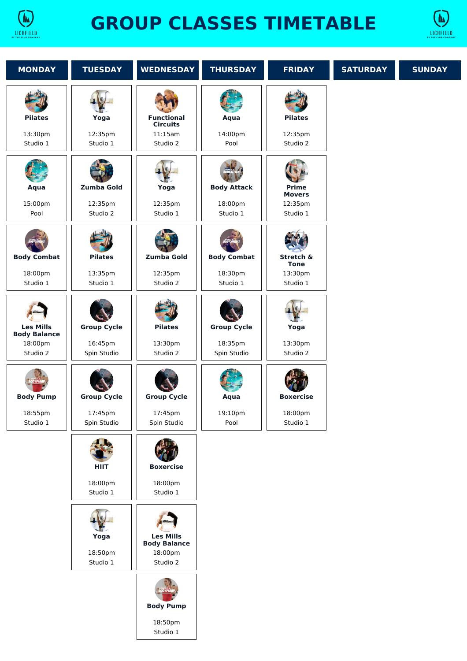

## **GROUP CLASSES TIMETABLE**



| <b>MONDAY</b>                                                  | <b>TUESDAY</b>                               | <b>WEDNESDAY</b>                                               | <b>THURSDAY</b>                              | <b>FRIDAY</b>                                        | <b>SATURDAY</b> | <b>SUNDAY</b> |
|----------------------------------------------------------------|----------------------------------------------|----------------------------------------------------------------|----------------------------------------------|------------------------------------------------------|-----------------|---------------|
| <b>Pilates</b><br>13:30pm<br>Studio 1                          | Yoga<br>12:35pm<br>Studio 1                  | <b>Functional</b><br><b>Circuits</b><br>11:15am<br>Studio 2    | Aqua<br>14:00pm<br>Pool                      | <b>Pilates</b><br>12:35pm<br>Studio 2                |                 |               |
| Aqua<br>15:00pm<br>Pool                                        | <b>Zumba Gold</b><br>12:35pm<br>Studio 2     | Yoga<br>12:35pm<br>Studio 1                                    | <b>Body Attack</b><br>18:00pm<br>Studio 1    | <b>Prime</b><br><b>Movers</b><br>12:35pm<br>Studio 1 |                 |               |
| <b>Body Combat</b><br>18:00pm<br>Studio 1                      | <b>Pilates</b><br>13:35pm<br>Studio 1        | Zumba Gold<br>12:35pm<br>Studio 2                              | <b>Body Combat</b><br>18:30pm<br>Studio 1    | Stretch &<br><b>Tone</b><br>13:30pm<br>Studio 1      |                 |               |
| <b>Les Mills</b><br><b>Body Balance</b><br>18:00pm<br>Studio 2 | <b>Group Cycle</b><br>16:45pm<br>Spin Studio | <b>Pilates</b><br>13:30pm<br>Studio 2                          | <b>Group Cycle</b><br>18:35pm<br>Spin Studio | Yoga<br>13:30pm<br>Studio 2                          |                 |               |
| <b>Body Pump</b><br>18:55pm<br>Studio 1                        | <b>Group Cycle</b><br>17:45pm<br>Spin Studio | <b>Group Cycle</b><br>17:45pm<br>Spin Studio                   | Aqua<br>19:10pm<br>Pool                      | <b>Boxercise</b><br>18:00pm<br>Studio 1              |                 |               |
|                                                                | <b>HIIT</b><br>18:00pm<br>Studio 1           | <b>Boxercise</b><br>18:00pm<br>Studio 1                        |                                              |                                                      |                 |               |
|                                                                | Yoga<br>18:50pm<br>Studio 1                  | <b>Les Mills</b><br><b>Body Balance</b><br>18:00pm<br>Studio 2 |                                              |                                                      |                 |               |
|                                                                |                                              | <b>Body Pump</b><br>18:50pm<br>Studio 1                        |                                              |                                                      |                 |               |